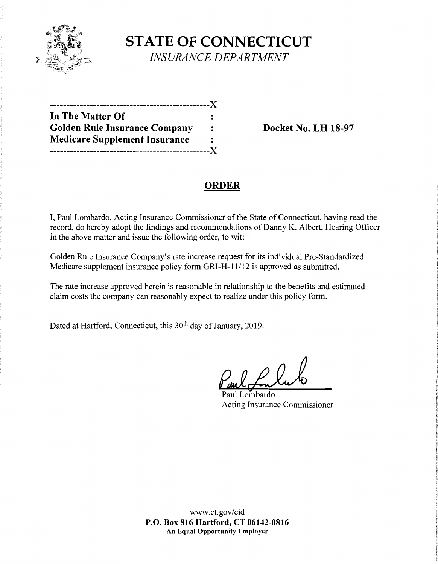

**STATE OF CONNECTICUT**  *INSURANCE DEPARTMENT* 

| ----------                           |     |
|--------------------------------------|-----|
| In The Matter Of                     |     |
| <b>Golden Rule Insurance Company</b> |     |
| <b>Medicare Supplement Insurance</b> | :   |
| -------------                        | - X |

**Docket No. LH 18-97** 

## **ORDER**

I, Paul Lombardo, Acting Insurance Commissioner of the State of Connecticut, having read the record, do hereby adopt the findings and recommendations of Danny K. Albert, Hearing Officer in the above matter and issue the following order, to wit:

Golden Rule Insurance Company's rate increase request for its individual Pre-Standardized Medicare supplement insurance policy form GRI-H-11/12 is approved as submitted.

The rate increase approved herein is reasonable in relationship to the benefits and estimated claim costs the company can reasonably expect to realize under this policy form.

Dated at Hartford, Connecticut, this 30<sup>th</sup> day of January, 2019.

Puul Lombardo

Acting Insurance Commissioner

www.ct.gov/cid **P.O. Box 816 Hartford, CT 06142-0816 An Equal Opportunity Employer**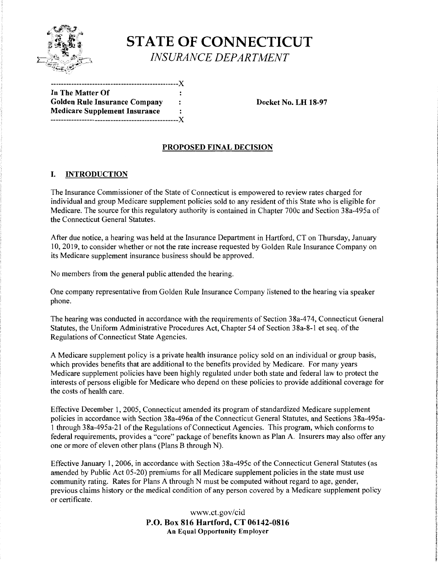

# **STATE OF CONNECTICUT**  *INSURANCE DEPARTMENT*

| In The Matter Of                     |      |
|--------------------------------------|------|
| <b>Golden Rule Insurance Company</b> | :    |
| <b>Medicare Supplement Insurance</b> | :    |
|                                      | $-X$ |

**Docket No. LH 18-97** 

### **PROPOSED FINAL DECISION**

#### I. **INTRODUCTION**

The Insurance Commissioner of the State of Connecticut is empowered to review rates charged for individual and group Medicare supplement policies sold to any resident of this State who is eligible for Medicare. The source for this regulatory authority is contained in Chapter 700c and Section 3 8a-495a of the Connecticut General Statutes.

After due notice, a hearing was held at the Insurance Department in Hartford, CT on Thursday, January 10, 2019, to consider whether or not the rate increase requested by Golden Rule Insurance Company on its Medicare supplement insurance business should be approved.

No members from the general public attended the hearing.

One company representative from Golden Rule Insurance Company listened to the hearing via speaker phone.

The hearing was conducted in accordance with the requirements of Section 38a-474, Connecticut General Statutes, the Uniform Administrative Procedures Act, Chapter 54 of Section 38a-8-1 et seq. of the Regulations of Connecticut State Agencies.

A Medicare supplement policy is a private health insurance policy sold on an individual or group basis, which provides benefits that are additional to the benefits provided by Medicare. For many years Medicare supplement policies have been highly regulated under both state and federal law to protect the interests of persons eligible for Medicare who depend on these policies to provide additional coverage for the costs of health care.

Effective December 1, 2005, Connecticut amended its program of standardized Medicare supplement policies in accordance with Section 38a-496a of the Connecticut General Statutes, and Sections 38a-495a-1 through 38a-495a-21 of the Regulations of Connecticut Agencies. This program, which conforms to federal requirements, provides a "core" package of benefits known as Plan A. Insurers may also offer any one or more of eleven other plans (Plans B through N).

Effective January 1, 2006, in accordance with Section 38a-495c of the Connecticut General Statutes (as amended by Public Act 05-20) premiums for all Medicare supplement policies in the state must use community rating. Rates for Plans A through N must be computed without regard to age, gender, previous claims history or the medical condition of any person covered by a Medicare supplement policy or certificate.

> www.ct.gov/cid **P.O. Box 816 Hartford, CT 06142-0816 An Equal Opportunity Employer**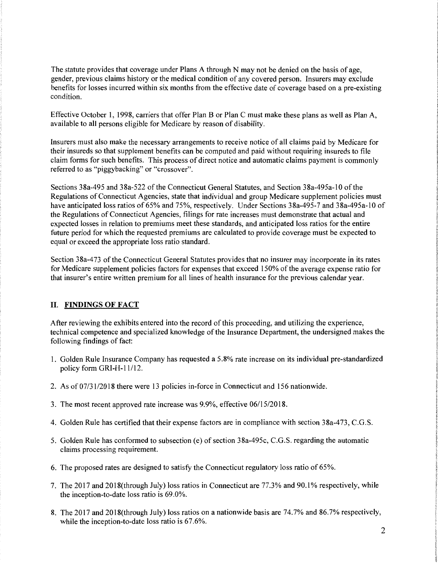The statute provides that coverage under Plans A through N may not be denied on the basis of age, gender, previous claims history or the medical condition of any covered person. Insurers may exclude benefits for losses incurred within six months from the effective date of coverage based on a pre-existing condition.

Effective October 1, 1998, carriers that offer Plan B or Plan C must make these plans as well as Plan A, available to all persons eligible for Medicare by reason of disability.

Insurers must also make the necessary arrangements to receive notice of all claims paid by Medicare for their insureds so that supplement benefits can be computed and paid without requiring insureds to file claim forms for such benefits. This process of direct notice and automatic claims payment is commonly referred to as "piggybacking" or "crossover".

Sections 38a-495 and 38a-522 of the Connecticut General Statutes, and Section 38a-495a-10 of the Regulations of Connecticut Agencies, state that individual and group Medicare supplement policies must have anticipated loss ratios of 65% and 75%, respectively. Under Sections 38a-495-7 and 38a-495a-10 of the Regulations of Connecticut Agencies, filings for rate increases must demonstrate that actual and expected losses in relation to premiums meet these standards, and anticipated loss ratios for the entire future period for which the requested premiums are calculated to provide coverage must be expected to equal or exceed the appropriate loss ratio standard.

Section 38a-473 of the Connecticut General Statutes provides that no insurer may incorporate in its rates for Medicare supplement policies factors for expenses that exceed 150% of the average expense ratio for that insurer's entire written premium for all lines of health insurance for the previous calendar year.

#### II. **FINDINGS OF FACT**

After reviewing the exhibits entered into the record of this proceeding, and utilizing the experience, technical competence and specialized knowledge ofthe Insurance Department, the undersigned makes the following findings of fact:

- 1. Golden Rule Insurance Company has requested a 5.8% rate increase on its individual pre-standardized policy form GRI-H-11/12.
- 2. As of 07/31/2018 there were 13 policies in-force in Connecticut and 156 nationwide.
- 3. The most recent approved rate increase was 9.9%, effective 06/15/2018.
- 4. Golden Rule has certified that their expense factors are in compliance with section 38a-473, C.G.S.
- 5. Golden Rule has conformed to subsection (e) of section 38a-495c, C.G.S. regarding the automatic claims processing requirement.
- 6. The proposed rates are designed to satisfy the Connecticut regulatory loss ratio of 65%.
- 7. The 2017 and 2018(through July) loss ratios in Connecticut are 77 .3% and 90.1 % respectively, while the inception-to-date loss ratio is 69.0%.
- 8. The 2017 and 2018(through July) loss ratios on a nationwide basis are 74.7% and 86.7% respectively, while the inception-to-date loss ratio is 67.6%.